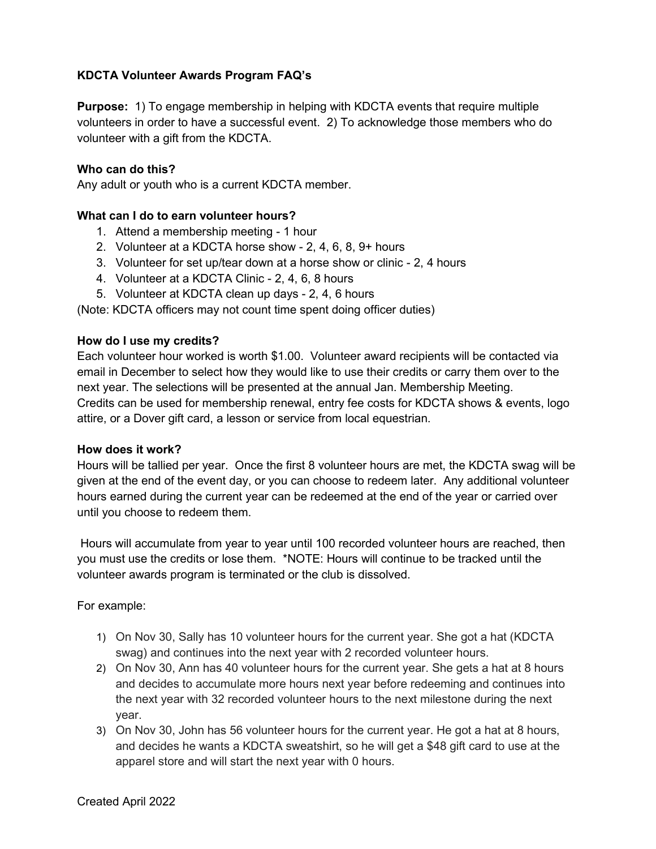# **KDCTA Volunteer Awards Program FAQ's**

**Purpose:** 1) To engage membership in helping with KDCTA events that require multiple volunteers in order to have a successful event. 2) To acknowledge those members who do volunteer with a gift from the KDCTA.

### **Who can do this?**

Any adult or youth who is a current KDCTA member.

### **What can I do to earn volunteer hours?**

- 1. Attend a membership meeting 1 hour
- 2. Volunteer at a KDCTA horse show 2, 4, 6, 8, 9+ hours
- 3. Volunteer for set up/tear down at a horse show or clinic 2, 4 hours
- 4. Volunteer at a KDCTA Clinic 2, 4, 6, 8 hours
- 5. Volunteer at KDCTA clean up days 2, 4, 6 hours

(Note: KDCTA officers may not count time spent doing officer duties)

#### **How do I use my credits?**

Each volunteer hour worked is worth \$1.00. Volunteer award recipients will be contacted via email in December to select how they would like to use their credits or carry them over to the next year. The selections will be presented at the annual Jan. Membership Meeting. Credits can be used for membership renewal, entry fee costs for KDCTA shows & events, logo attire, or a Dover gift card, a lesson or service from local equestrian.

#### **How does it work?**

Hours will be tallied per year. Once the first 8 volunteer hours are met, the KDCTA swag will be given at the end of the event day, or you can choose to redeem later. Any additional volunteer hours earned during the current year can be redeemed at the end of the year or carried over until you choose to redeem them.

Hours will accumulate from year to year until 100 recorded volunteer hours are reached, then you must use the credits or lose them. \*NOTE: Hours will continue to be tracked until the volunteer awards program is terminated or the club is dissolved.

For example:

- 1) On Nov 30, Sally has 10 volunteer hours for the current year. She got a hat (KDCTA swag) and continues into the next year with 2 recorded volunteer hours.
- 2) On Nov 30, Ann has 40 volunteer hours for the current year. She gets a hat at 8 hours and decides to accumulate more hours next year before redeeming and continues into the next year with 32 recorded volunteer hours to the next milestone during the next year.
- 3) On Nov 30, John has 56 volunteer hours for the current year. He got a hat at 8 hours, and decides he wants a KDCTA sweatshirt, so he will get a \$48 gift card to use at the apparel store and will start the next year with 0 hours.